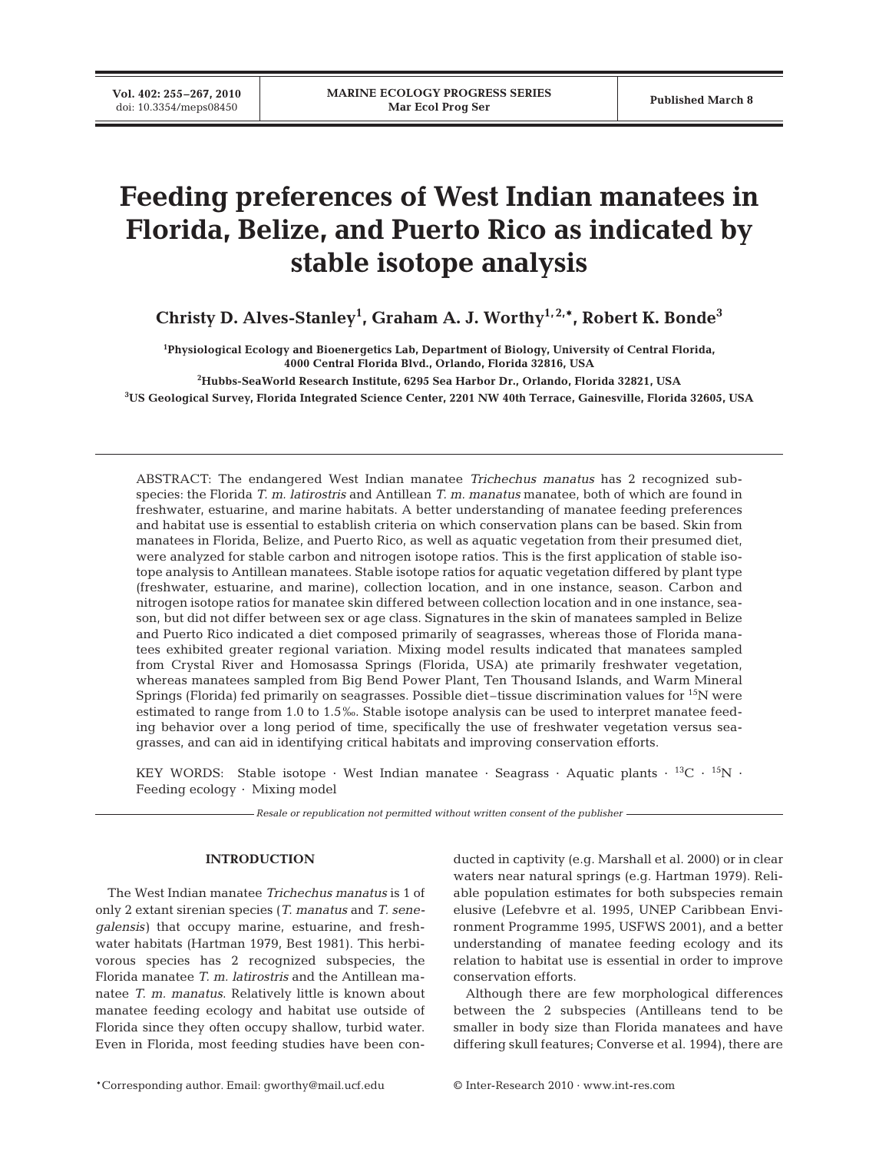# **Feeding preferences of West Indian manatees in Florida, Belize, and Puerto Rico as indicated by stable isotope analysis**

**Christy D. Alves-Stanley1 , Graham A. J. Worthy1, 2,\*, Robert K. Bonde3**

**1 Physiological Ecology and Bioenergetics Lab, Department of Biology, University of Central Florida, 4000 Central Florida Blvd., Orlando, Florida 32816, USA**

**2 Hubbs-SeaWorld Research Institute, 6295 Sea Harbor Dr., Orlando, Florida 32821, USA**

**3 US Geological Survey, Florida Integrated Science Center, 2201 NW 40th Terrace, Gainesville, Florida 32605, USA**

ABSTRACT: The endangered West Indian manatee *Trichechus manatus* has 2 recognized subspecies: the Florida *T. m. latirostris* and Antillean *T. m. manatus* manatee, both of which are found in freshwater, estuarine, and marine habitats. A better understanding of manatee feeding preferences and habitat use is essential to establish criteria on which conservation plans can be based. Skin from manatees in Florida, Belize, and Puerto Rico, as well as aquatic vegetation from their presumed diet, were analyzed for stable carbon and nitrogen isotope ratios. This is the first application of stable isotope analysis to Antillean manatees. Stable isotope ratios for aquatic vegetation differed by plant type (freshwater, estuarine, and marine), collection location, and in one instance, season. Carbon and nitrogen isotope ratios for manatee skin differed between collection location and in one instance, season, but did not differ between sex or age class. Signatures in the skin of manatees sampled in Belize and Puerto Rico indicated a diet composed primarily of seagrasses, whereas those of Florida manatees exhibited greater regional variation. Mixing model results indicated that manatees sampled from Crystal River and Homosassa Springs (Florida, USA) ate primarily freshwater vegetation, whereas manatees sampled from Big Bend Power Plant, Ten Thousand Islands, and Warm Mineral Springs (Florida) fed primarily on seagrasses. Possible diet–tissue discrimination values for 15N were estimated to range from 1.0 to 1.5‰. Stable isotope analysis can be used to interpret manatee feeding behavior over a long period of time, specifically the use of freshwater vegetation versus seagrasses, and can aid in identifying critical habitats and improving conservation efforts.

KEY WORDS: Stable isotope · West Indian manatee · Seagrass · Aquatic plants · <sup>13</sup>C · <sup>15</sup>N · Feeding ecology · Mixing model

*Resale or republication not permitted without written consent of the publisher*

# **INTRODUCTION**

The West Indian manatee *Trichechus manatus* is 1 of only 2 extant sirenian species (*T. manatus* and *T. senegalensis)* that occupy marine, estuarine, and freshwater habitats (Hartman 1979, Best 1981). This herbivorous species has 2 recognized subspecies, the Florida manatee *T. m. latirostris* and the Antillean manatee *T. m. manatus*. Relatively little is known about manatee feeding ecology and habitat use outside of Florida since they often occupy shallow, turbid water. Even in Florida, most feeding studies have been conducted in captivity (e.g. Marshall et al. 2000) or in clear waters near natural springs (e.g. Hartman 1979). Reliable population estimates for both subspecies remain elusive (Lefebvre et al. 1995, UNEP Caribbean Environment Programme 1995, USFWS 2001), and a better understanding of manatee feeding ecology and its relation to habitat use is essential in order to improve conservation efforts.

Although there are few morphological differences between the 2 subspecies (Antilleans tend to be smaller in body size than Florida manatees and have differing skull features; Converse et al. 1994), there are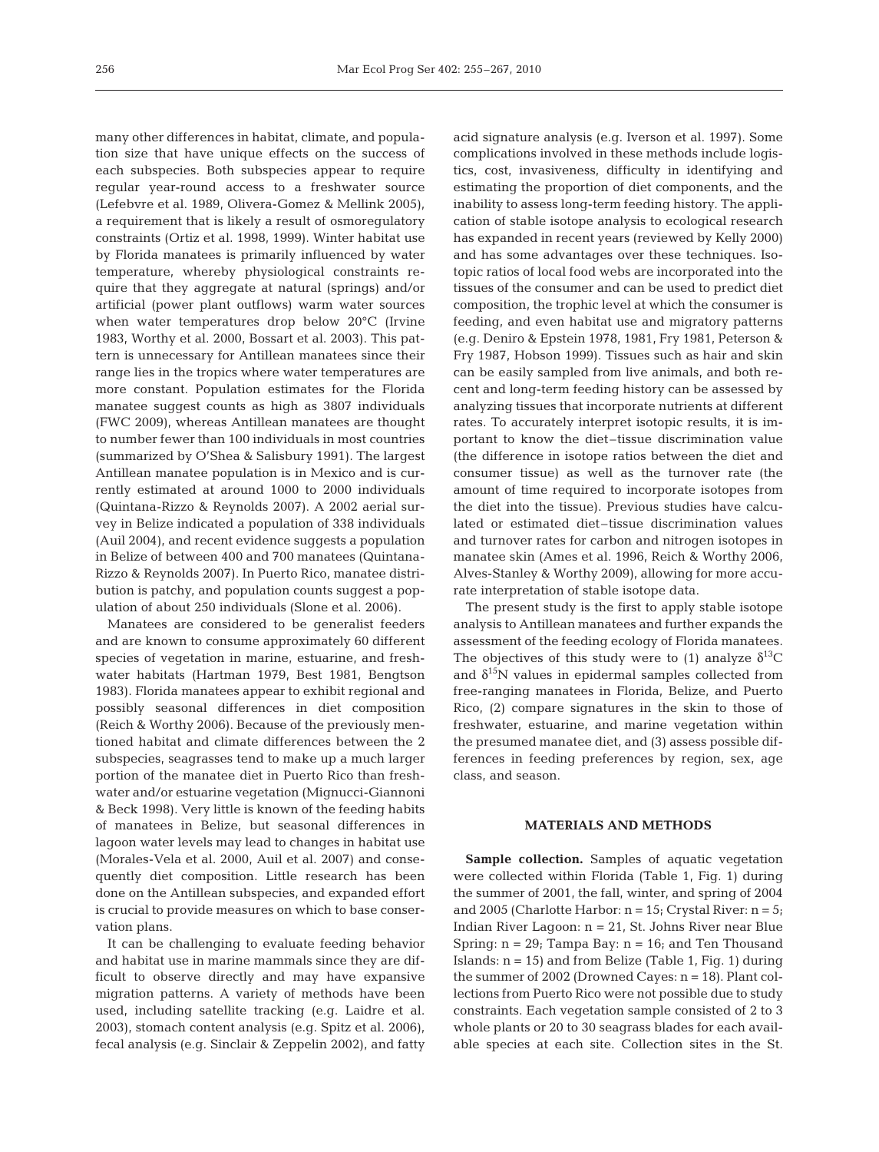many other differences in habitat, climate, and population size that have unique effects on the success of each subspecies. Both subspecies appear to require regular year-round access to a freshwater source (Lefebvre et al. 1989, Olivera-Gomez & Mellink 2005), a requirement that is likely a result of osmoregulatory constraints (Ortiz et al. 1998, 1999). Winter habitat use by Florida manatees is primarily influenced by water temperature, whereby physiological constraints require that they aggregate at natural (springs) and/or artificial (power plant outflows) warm water sources when water temperatures drop below 20°C (Irvine 1983, Worthy et al. 2000, Bossart et al. 2003). This pattern is unnecessary for Antillean manatees since their range lies in the tropics where water temperatures are more constant. Population estimates for the Florida manatee suggest counts as high as 3807 individuals (FWC 2009), whereas Antillean manatees are thought to number fewer than 100 individuals in most countries (summarized by O'Shea & Salisbury 1991). The largest Antillean manatee population is in Mexico and is currently estimated at around 1000 to 2000 individuals (Quintana-Rizzo & Reynolds 2007). A 2002 aerial survey in Belize indicated a population of 338 individuals (Auil 2004), and recent evidence suggests a population in Belize of between 400 and 700 manatees (Quintana-Rizzo & Reynolds 2007). In Puerto Rico, manatee distribution is patchy, and population counts suggest a population of about 250 individuals (Slone et al. 2006).

Manatees are considered to be generalist feeders and are known to consume approximately 60 different species of vegetation in marine, estuarine, and freshwater habitats (Hartman 1979, Best 1981, Bengtson 1983). Florida manatees appear to exhibit regional and possibly seasonal differences in diet composition (Reich & Worthy 2006). Because of the previously mentioned habitat and climate differences between the 2 subspecies, seagrasses tend to make up a much larger portion of the manatee diet in Puerto Rico than freshwater and/or estuarine vegetation (Mignucci-Giannoni & Beck 1998). Very little is known of the feeding habits of manatees in Belize, but seasonal differences in lagoon water levels may lead to changes in habitat use (Morales-Vela et al. 2000, Auil et al. 2007) and consequently diet composition. Little research has been done on the Antillean subspecies, and expanded effort is crucial to provide measures on which to base conservation plans.

It can be challenging to evaluate feeding behavior and habitat use in marine mammals since they are difficult to observe directly and may have expansive migration patterns. A variety of methods have been used, including satellite tracking (e.g. Laidre et al. 2003), stomach content analysis (e.g. Spitz et al. 2006), fecal analysis (e.g. Sinclair & Zeppelin 2002), and fatty

acid signature analysis (e.g. Iverson et al. 1997). Some complications involved in these methods include logistics, cost, invasiveness, difficulty in identifying and estimating the proportion of diet components, and the inability to assess long-term feeding history. The application of stable isotope analysis to ecological research has expanded in recent years (reviewed by Kelly 2000) and has some advantages over these techniques. Isotopic ratios of local food webs are incorporated into the tissues of the consumer and can be used to predict diet composition, the trophic level at which the consumer is feeding, and even habitat use and migratory patterns (e.g. Deniro & Epstein 1978, 1981, Fry 1981, Peterson & Fry 1987, Hobson 1999). Tissues such as hair and skin can be easily sampled from live animals, and both recent and long-term feeding history can be assessed by analyzing tissues that incorporate nutrients at different rates. To accurately interpret isotopic results, it is important to know the diet–tissue discrimination value (the difference in isotope ratios between the diet and consumer tissue) as well as the turnover rate (the amount of time required to incorporate isotopes from the diet into the tissue). Previous studies have calculated or estimated diet–tissue discrimination values and turnover rates for carbon and nitrogen isotopes in manatee skin (Ames et al. 1996, Reich & Worthy 2006, Alves-Stanley & Worthy 2009), allowing for more accurate interpretation of stable isotope data.

The present study is the first to apply stable isotope analysis to Antillean manatees and further expands the assessment of the feeding ecology of Florida manatees. The objectives of this study were to (1) analyze  $\delta^{13}C$ and  $\delta^{15}N$  values in epidermal samples collected from free-ranging manatees in Florida, Belize, and Puerto Rico, (2) compare signatures in the skin to those of freshwater, estuarine, and marine vegetation within the presumed manatee diet, and (3) assess possible differences in feeding preferences by region, sex, age class, and season.

# **MATERIALS AND METHODS**

**Sample collection.** Samples of aquatic vegetation were collected within Florida (Table 1, Fig. 1) during the summer of 2001, the fall, winter, and spring of 2004 and 2005 (Charlotte Harbor:  $n = 15$ ; Crystal River:  $n = 5$ ; Indian River Lagoon: n = 21, St. Johns River near Blue Spring:  $n = 29$ ; Tampa Bay:  $n = 16$ ; and Ten Thousand Islands:  $n = 15$ ) and from Belize (Table 1, Fig. 1) during the summer of 2002 (Drowned Cayes:  $n = 18$ ). Plant collections from Puerto Rico were not possible due to study constraints. Each vegetation sample consisted of 2 to 3 whole plants or 20 to 30 seagrass blades for each available species at each site. Collection sites in the St.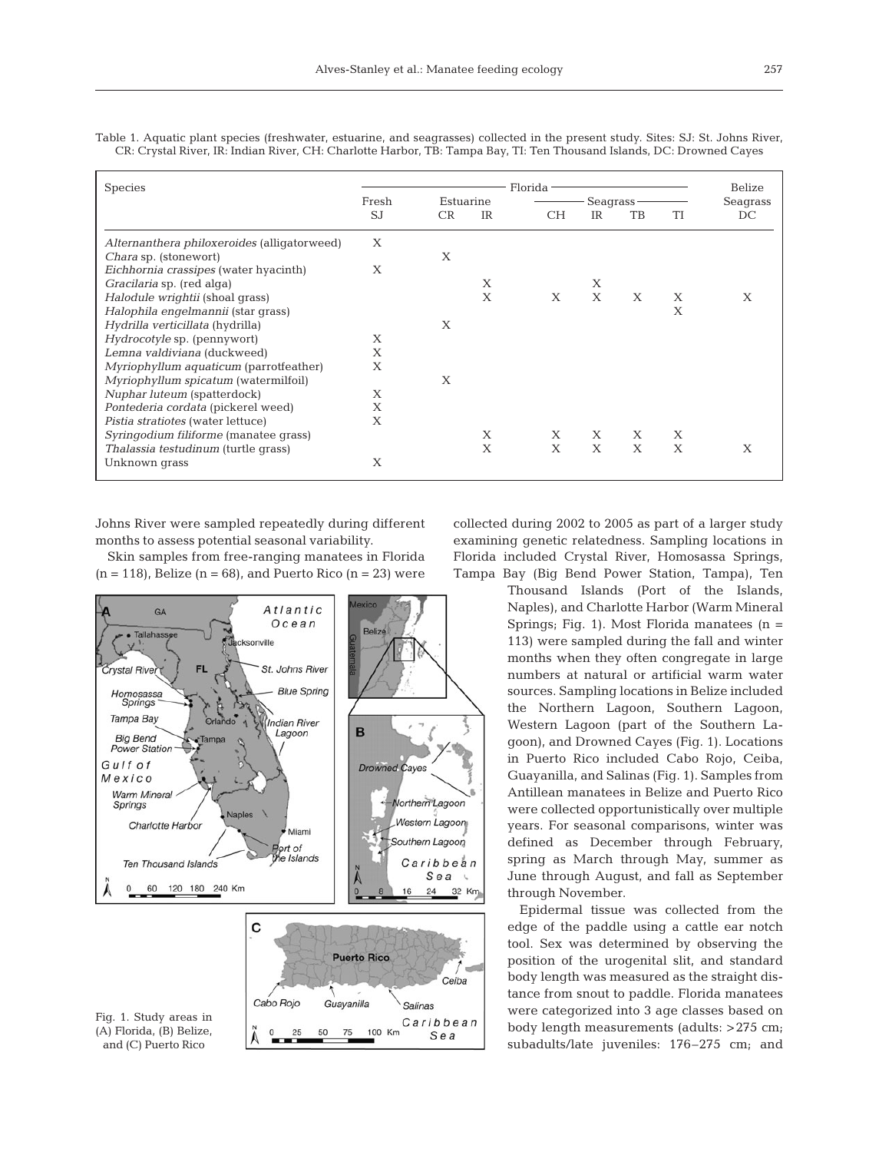| <b>Species</b>                              | Florida -          |    |              |           |              |    |    | Belize   |
|---------------------------------------------|--------------------|----|--------------|-----------|--------------|----|----|----------|
|                                             | Fresh<br>Estuarine |    |              | Seagrass- |              |    |    | Seagrass |
|                                             | S.I                | CR | IR           | <b>CH</b> | IR           | TB | TI | DC       |
| Alternanthera philoxeroides (alligatorweed) | X                  |    |              |           |              |    |    |          |
| Chara sp. (stonewort)                       |                    | X  |              |           |              |    |    |          |
| Eichhornia crassipes (water hyacinth)       | X                  |    |              |           |              |    |    |          |
| Gracilaria sp. (red alga)                   |                    |    | X            |           | Х            |    |    |          |
| Halodule wrightii (shoal grass)             |                    |    | $\mathsf{X}$ | X         | $\mathsf{X}$ | X  | X  | Х        |
| Halophila engelmannii (star grass)          |                    |    |              |           |              |    | Х  |          |
| Hydrilla verticillata (hydrilla)            |                    | X  |              |           |              |    |    |          |
| Hydrocotyle sp. (pennywort)                 | X                  |    |              |           |              |    |    |          |
| Lemna valdiviana (duckweed)                 | X                  |    |              |           |              |    |    |          |
| Myriophyllum aquaticum (parrotfeather)      | X                  |    |              |           |              |    |    |          |
| Myriophyllum spicatum (watermilfoil)        |                    | X  |              |           |              |    |    |          |
| Nuphar luteum (spatterdock)                 | X                  |    |              |           |              |    |    |          |
| Pontederia cordata (pickerel weed)          | Х                  |    |              |           |              |    |    |          |
| Pistia stratiotes (water lettuce)           | X                  |    |              |           |              |    |    |          |
| Syringodium filiforme (manatee grass)       |                    |    | X            | Х         | X            | X  | Х  |          |
| Thalassia testudinum (turtle grass)         |                    |    | X            | X         | X            | X  | X  | X        |
| Unknown grass                               | X                  |    |              |           |              |    |    |          |
|                                             |                    |    |              |           |              |    |    |          |

Table 1. Aquatic plant species (freshwater, estuarine, and seagrasses) collected in the present study. Sites: SJ: St. Johns River, CR: Crystal River, IR: Indian River, CH: Charlotte Harbor, TB: Tampa Bay, TI: Ten Thousand Islands, DC: Drowned Cayes

Johns River were sampled repeatedly during different months to assess potential seasonal variability.

Skin samples from free-ranging manatees in Florida  $(n = 118)$ , Belize  $(n = 68)$ , and Puerto Rico  $(n = 23)$  were



collected during 2002 to 2005 as part of a larger study examining genetic relatedness. Sampling locations in Florida included Crystal River, Homosassa Springs, Tampa Bay (Big Bend Power Station, Tampa), Ten

> Thousand Islands (Port of the Islands, Naples), and Charlotte Harbor (Warm Mineral Springs; Fig. 1). Most Florida manatees  $(n =$ 113) were sampled during the fall and winter months when they often congregate in large numbers at natural or artificial warm water sources. Sampling locations in Belize included the Northern Lagoon, Southern Lagoon, Western Lagoon (part of the Southern Lagoon), and Drowned Cayes (Fig. 1). Locations in Puerto Rico included Cabo Rojo, Ceiba, Guayanilla, and Salinas (Fig. 1). Samples from Antillean manatees in Belize and Puerto Rico were collected opportunistically over multiple years. For seasonal comparisons, winter was defined as December through February, spring as March through May, summer as June through August, and fall as September through November.

> Epidermal tissue was collected from the edge of the paddle using a cattle ear notch tool. Sex was determined by observing the position of the urogenital slit, and standard body length was measured as the straight distance from snout to paddle. Florida manatees were categorized into 3 age classes based on body length measurements (adults: >275 cm; subadults/late juveniles: 176–275 cm; and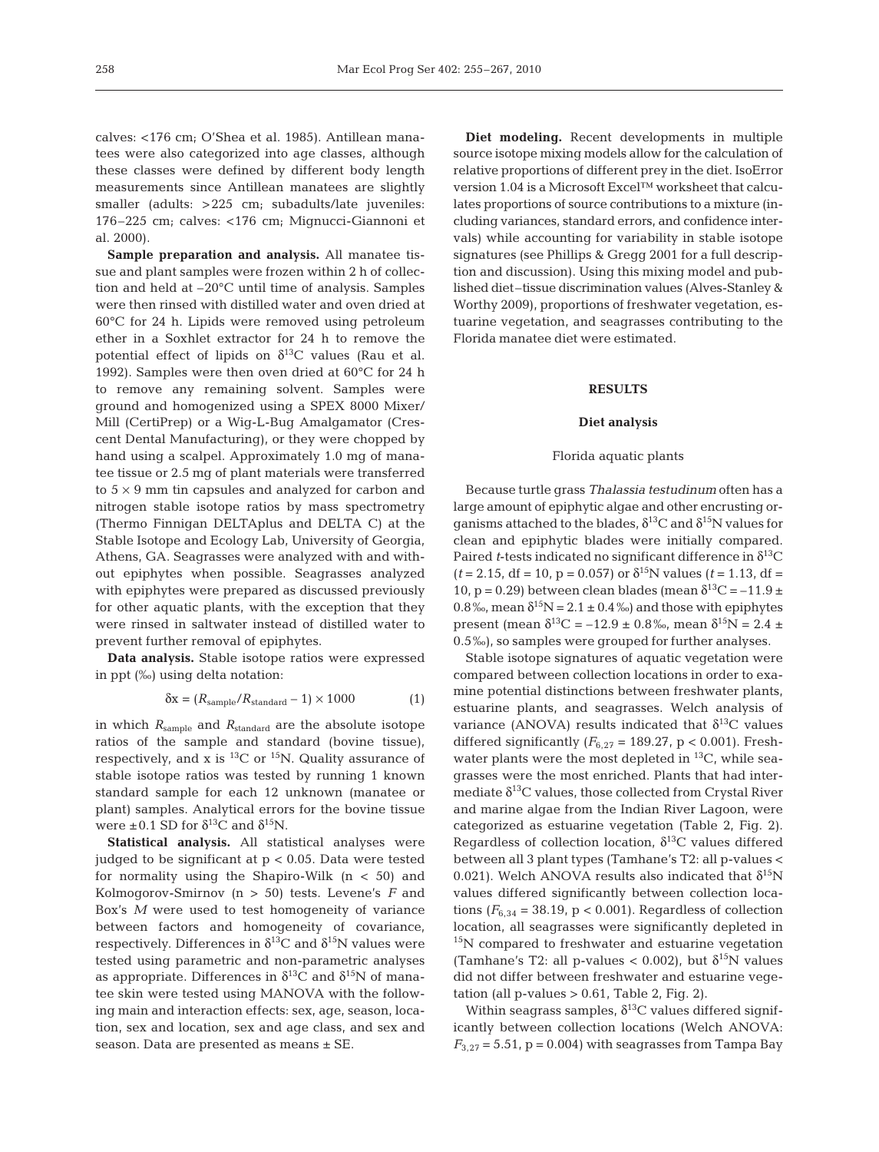calves: <176 cm; O'Shea et al. 1985). Antillean manatees were also categorized into age classes, although these classes were defined by different body length measurements since Antillean manatees are slightly smaller (adults: >225 cm; subadults/late juveniles: 176–225 cm; calves: <176 cm; Mignucci-Giannoni et al. 2000).

**Sample preparation and analysis.** All manatee tissue and plant samples were frozen within 2 h of collection and held at –20°C until time of analysis. Samples were then rinsed with distilled water and oven dried at 60°C for 24 h. Lipids were removed using petroleum ether in a Soxhlet extractor for 24 h to remove the potential effect of lipids on  $\delta^{13}$ C values (Rau et al. 1992). Samples were then oven dried at 60°C for 24 h to remove any remaining solvent. Samples were ground and homogenized using a SPEX 8000 Mixer/ Mill (CertiPrep) or a Wig-L-Bug Amalgamator (Crescent Dental Manufacturing), or they were chopped by hand using a scalpel. Approximately 1.0 mg of manatee tissue or 2.5 mg of plant materials were transferred to  $5 \times 9$  mm tin capsules and analyzed for carbon and nitrogen stable isotope ratios by mass spectrometry (Thermo Finnigan DELTAplus and DELTA C) at the Stable Isotope and Ecology Lab, University of Georgia, Athens, GA. Seagrasses were analyzed with and without epiphytes when possible. Seagrasses analyzed with epiphytes were prepared as discussed previously for other aquatic plants, with the exception that they were rinsed in saltwater instead of distilled water to prevent further removal of epiphytes.

**Data analysis.** Stable isotope ratios were expressed in ppt (‰) using delta notation:

$$
\delta x = (R_{\text{sample}} / R_{\text{standard}} - 1) \times 1000 \tag{1}
$$

in which *R*sample and *R*standard are the absolute isotope ratios of the sample and standard (bovine tissue), respectively, and x is  ${}^{13}$ C or  ${}^{15}$ N. Quality assurance of stable isotope ratios was tested by running 1 known standard sample for each 12 unknown (manatee or plant) samples. Analytical errors for the bovine tissue were  $\pm 0.1$  SD for  $\delta^{13}$ C and  $\delta^{15}$ N.

**Statistical analysis.** All statistical analyses were judged to be significant at p < 0.05. Data were tested for normality using the Shapiro-Wilk  $(n < 50)$  and Kolmogorov-Smirnov (n > 50) tests. Levene's *F* and Box's *M* were used to test homogeneity of variance between factors and homogeneity of covariance, respectively. Differences in  $\delta^{13}$ C and  $\delta^{15}$ N values were tested using parametric and non-parametric analyses as appropriate. Differences in  $\delta^{13}$ C and  $\delta^{15}$ N of manatee skin were tested using MANOVA with the following main and interaction effects: sex, age, season, location, sex and location, sex and age class, and sex and season. Data are presented as means ± SE.

**Diet modeling.** Recent developments in multiple source isotope mixing models allow for the calculation of relative proportions of different prey in the diet. IsoError version 1.04 is a Microsoft Excel™ worksheet that calculates proportions of source contributions to a mixture (including variances, standard errors, and confidence intervals) while accounting for variability in stable isotope signatures (see Phillips & Gregg 2001 for a full description and discussion). Using this mixing model and published diet–tissue discrimination values (Alves-Stanley & Worthy 2009), proportions of freshwater vegetation, estuarine vegetation, and seagrasses contributing to the Florida manatee diet were estimated.

# **RESULTS**

### **Diet analysis**

## Florida aquatic plants

Because turtle grass *Thalassia testudinum* often has a large amount of epiphytic algae and other encrusting organisms attached to the blades,  $\delta^{13}$ C and  $\delta^{15}$ N values for clean and epiphytic blades were initially compared. Paired *t*-tests indicated no significant difference in  $\delta^{13}C$  $(t = 2.15, df = 10, p = 0.057)$  or  $\delta^{15}$ N values  $(t = 1.13, df =$ 10, p = 0.29) between clean blades (mean  $\delta^{13}C = -11.9 \pm$ 0.8‰, mean  $\delta^{15}N = 2.1 \pm 0.4$ ‰) and those with epiphytes present (mean δ<sup>13</sup>C = -12.9 ± 0.8‰, mean δ<sup>15</sup>N = 2.4 ± 0.5‰), so samples were grouped for further analyses.

Stable isotope signatures of aquatic vegetation were compared between collection locations in order to examine potential distinctions between freshwater plants, estuarine plants, and seagrasses. Welch analysis of variance (ANOVA) results indicated that  $\delta^{13}C$  values differed significantly  $(F_{6,27} = 189.27, p < 0.001)$ . Freshwater plants were the most depleted in <sup>13</sup>C, while seagrasses were the most enriched. Plants that had intermediate  $\delta^{13}$ C values, those collected from Crystal River and marine algae from the Indian River Lagoon, were categorized as estuarine vegetation (Table 2, Fig. 2). Regardless of collection location,  $\delta^{13}$ C values differed between all 3 plant types (Tamhane's T2: all p-values < 0.021). Welch ANOVA results also indicated that  $\delta^{15}N$ values differed significantly between collection locations ( $F_{6,34}$  = 38.19, p < 0.001). Regardless of collection location, all seagrasses were significantly depleted in <sup>15</sup>N compared to freshwater and estuarine vegetation (Tamhane's T2: all p-values < 0.002), but  $\delta^{15}N$  values did not differ between freshwater and estuarine vegetation (all  $p$ -values  $> 0.61$ , Table 2, Fig. 2).

Within seagrass samples,  $\delta^{13}$ C values differed significantly between collection locations (Welch ANOVA:  $F_{3,27}$  = 5.51,  $p = 0.004$ ) with seagrasses from Tampa Bay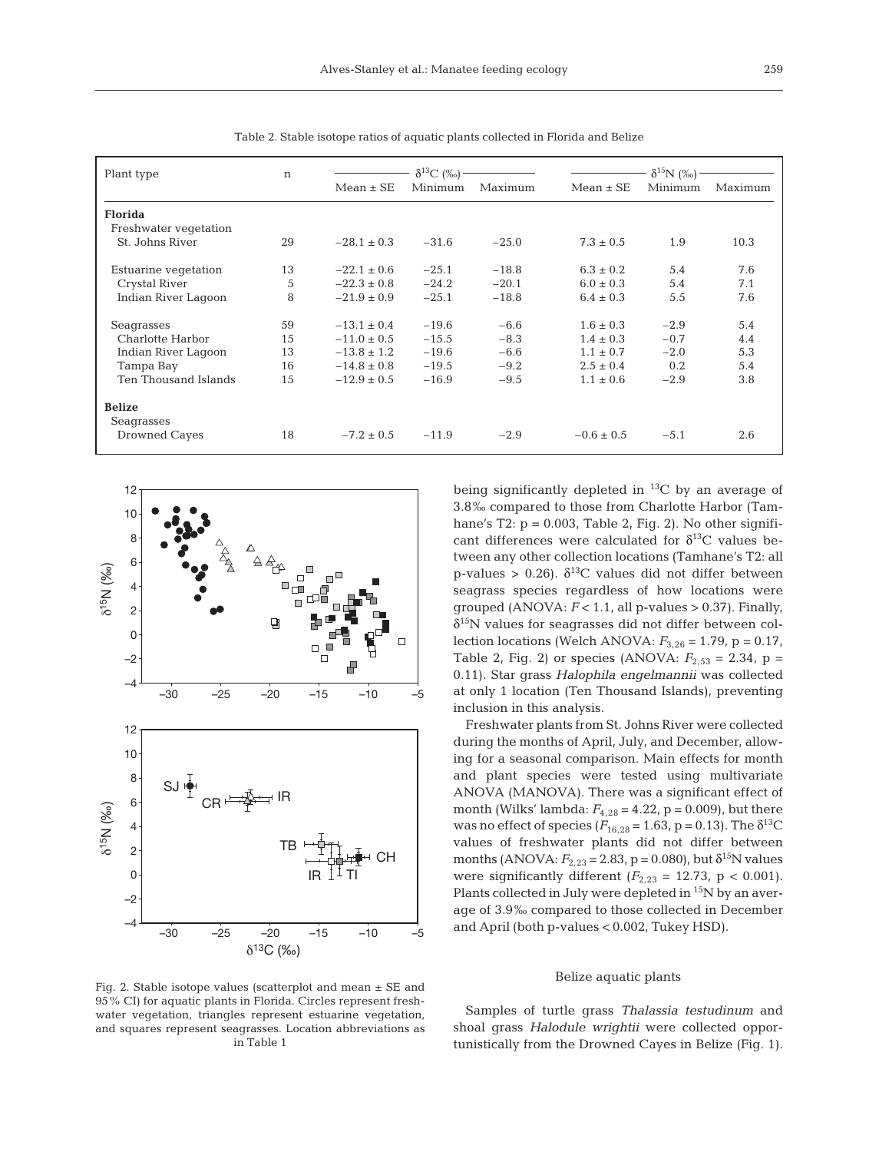| Plant type                  | n  | $\delta^{13}C$ (%) - |         |         | $\delta^{15}N$ (%). |         |         |  |
|-----------------------------|----|----------------------|---------|---------|---------------------|---------|---------|--|
|                             |    | $Mean \pm SE$        | Minimum | Maximum | $Mean \pm SE$       | Minimum | Maximum |  |
| <b>Florida</b>              |    |                      |         |         |                     |         |         |  |
| Freshwater vegetation       |    |                      |         |         |                     |         |         |  |
| St. Johns River             | 29 | $-28.1 \pm 0.3$      | $-31.6$ | $-25.0$ | $7.3 \pm 0.5$       | 1.9     | 10.3    |  |
| Estuarine vegetation        | 13 | $-22.1 \pm 0.6$      | $-25.1$ | $-18.8$ | $6.3 \pm 0.2$       | 5.4     | 7.6     |  |
| Crystal River               | 5  | $-22.3 \pm 0.8$      | $-24.2$ | $-20.1$ | $6.0 \pm 0.3$       | 5.4     | 7.1     |  |
| Indian River Lagoon         | 8  | $-21.9 \pm 0.9$      | $-25.1$ | $-18.8$ | $6.4 \pm 0.3$       | 5.5     | 7.6     |  |
| Seagrasses                  | 59 | $-13.1 \pm 0.4$      | $-19.6$ | $-6.6$  | $1.6 \pm 0.3$       | $-2.9$  | 5.4     |  |
| Charlotte Harbor            | 15 | $-11.0 \pm 0.5$      | $-15.5$ | $-8.3$  | $1.4 \pm 0.3$       | $-0.7$  | 4.4     |  |
| Indian River Lagoon         | 13 | $-13.8 \pm 1.2$      | $-19.6$ | $-6.6$  | $1.1 \pm 0.7$       | $-2.0$  | 5.3     |  |
| Tampa Bay                   | 16 | $-14.8 \pm 0.8$      | $-19.5$ | $-9.2$  | $2.5 \pm 0.4$       | 0.2     | 5.4     |  |
| <b>Ten Thousand Islands</b> | 15 | $-12.9 \pm 0.5$      | $-16.9$ | $-9.5$  | $1.1 \pm 0.6$       | $-2.9$  | 3.8     |  |
| <b>Belize</b>               |    |                      |         |         |                     |         |         |  |
| Seagrasses                  |    |                      |         |         |                     |         |         |  |
| Drowned Cayes               | 18 | $-7.2 \pm 0.5$       | $-11.9$ | $-2.9$  | $-0.6 \pm 0.5$      | $-5.1$  | 2.6     |  |

Table 2. Stable isotope ratios of aquatic plants collected in Florida and Belize



Fig. 2. Stable isotope values (scatterplot and mean ± SE and 95% CI) for aquatic plants in Florida. Circles represent freshwater vegetation, triangles represent estuarine vegetation, and squares represent seagrasses. Location abbreviations as in Table 1

being significantly depleted in  ${}^{13}C$  by an average of 3.8‰ compared to those from Charlotte Harbor (Tamhane's T2:  $p = 0.003$ , Table 2, Fig. 2). No other significant differences were calculated for  $\delta^{13}$ C values between any other collection locations (Tamhane's T2: all p-values > 0.26).  $\delta^{13}$ C values did not differ between seagrass species regardless of how locations were grouped (ANOVA:  $F < 1.1$ , all p-values  $> 0.37$ ). Finally,  $\delta^{15}$ N values for seagrasses did not differ between collection locations (Welch ANOVA: *F*3,26 = 1.79, p = 0.17, Table 2, Fig. 2) or species (ANOVA:  $F_{2,53} = 2.34$ , p = 0.11). Star grass *Halophila engelmannii* was collected at only 1 location (Ten Thousand Islands), preventing inclusion in this analysis.

Freshwater plants from St. Johns River were collected during the months of April, July, and December, allowing for a seasonal comparison. Main effects for month and plant species were tested using multivariate ANOVA (MANOVA). There was a significant effect of month (Wilks' lambda:  $F_{4,28} = 4.22$ , p = 0.009), but there was no effect of species ( $F_{16,28}$  = 1.63, p = 0.13). The δ<sup>13</sup>C values of freshwater plants did not differ between months (ANOVA:  $F_{2,23} = 2.83$ , p = 0.080), but  $\delta^{15}$ N values were significantly different  $(F_{2,23} = 12.73, p < 0.001)$ . Plants collected in July were depleted in <sup>15</sup>N by an average of 3.9‰ compared to those collected in December and April (both p-values < 0.002, Tukey HSD).

### Belize aquatic plants

Samples of turtle grass *Thalassia testudinum* and shoal grass *Halodule wrightii* were collected opportunistically from the Drowned Cayes in Belize (Fig. 1).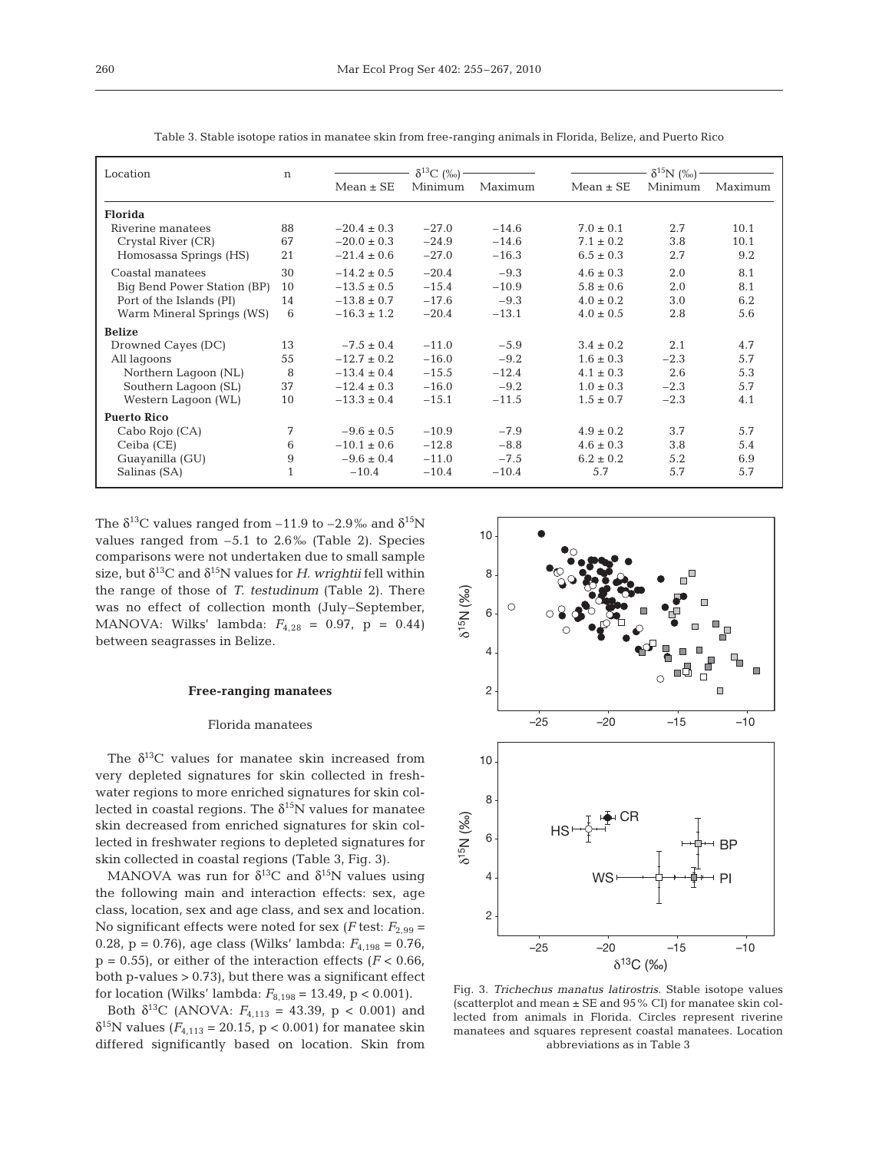| Location                    |    |                 | $\delta^{13}C$ (%o) - |         | $\delta^{15}N$ (%o) |         |         |  |
|-----------------------------|----|-----------------|-----------------------|---------|---------------------|---------|---------|--|
|                             |    | $Mean \pm SE$   | Minimum               | Maximum | $Mean \pm SE$       | Minimum | Maximum |  |
| <b>Florida</b>              |    |                 |                       |         |                     |         |         |  |
| Riverine manatees           | 88 | $-20.4 \pm 0.3$ | $-27.0$               | $-14.6$ | $7.0 \pm 0.1$       | 2.7     | 10.1    |  |
| Crystal River (CR)          | 67 | $-20.0 \pm 0.3$ | $-24.9$               | $-14.6$ | $7.1 \pm 0.2$       | 3.8     | 10.1    |  |
| Homosassa Springs (HS)      | 21 | $-21.4 \pm 0.6$ | $-27.0$               | $-16.3$ | $6.5 \pm 0.3$       | 2.7     | 9.2     |  |
| Coastal manatees            | 30 | $-14.2 \pm 0.5$ | $-20.4$               | $-9.3$  | $4.6 \pm 0.3$       | 2.0     | 8.1     |  |
| Big Bend Power Station (BP) | 10 | $-13.5 \pm 0.5$ | $-15.4$               | $-10.9$ | $5.8 \pm 0.6$       | 2.0     | 8.1     |  |
| Port of the Islands (PI)    | 14 | $-13.8 \pm 0.7$ | $-17.6$               | $-9.3$  | $4.0 \pm 0.2$       | 3.0     | 6.2     |  |
| Warm Mineral Springs (WS)   | 6  | $-16.3 \pm 1.2$ | $-20.4$               | $-13.1$ | $4.0 \pm 0.5$       | 2.8     | 5.6     |  |
| <b>Belize</b>               |    |                 |                       |         |                     |         |         |  |
| Drowned Cayes (DC)          | 13 | $-7.5 \pm 0.4$  | $-11.0$               | $-5.9$  | $3.4 \pm 0.2$       | 2.1     | 4.7     |  |
| All lagoons                 | 55 | $-12.7 \pm 0.2$ | $-16.0$               | $-9.2$  | $1.6 \pm 0.3$       | $-2.3$  | 5.7     |  |
| Northern Laqoon (NL)        | 8  | $-13.4 \pm 0.4$ | $-15.5$               | $-12.4$ | $4.1 \pm 0.3$       | 2.6     | 5.3     |  |
| Southern Lagoon (SL)        | 37 | $-12.4 \pm 0.3$ | $-16.0$               | $-9.2$  | $1.0 \pm 0.3$       | $-2.3$  | 5.7     |  |
| Western Lagoon (WL)         | 10 | $-13.3 \pm 0.4$ | $-15.1$               | $-11.5$ | $1.5 \pm 0.7$       | $-2.3$  | 4.1     |  |
| <b>Puerto Rico</b>          |    |                 |                       |         |                     |         |         |  |
| Cabo Rojo (CA)              | 7  | $-9.6 \pm 0.5$  | $-10.9$               | $-7.9$  | $4.9 \pm 0.2$       | 3.7     | 5.7     |  |
| Ceiba (CE)                  | 6  | $-10.1 \pm 0.6$ | $-12.8$               | $-8.8$  | $4.6 \pm 0.3$       | 3.8     | 5.4     |  |
| Guayanilla (GU)             | 9  | $-9.6 \pm 0.4$  | $-11.0$               | $-7.5$  | $6.2 \pm 0.2$       | 5.2     | 6.9     |  |
| Salinas (SA)                |    | $-10.4$         | $-10.4$               | $-10.4$ | 5.7                 | 5.7     | 5.7     |  |

Table 3. Stable isotope ratios in manatee skin from free-ranging animals in Florida, Belize, and Puerto Rico

The  $\delta^{13}$ C values ranged from -11.9 to -2.9‰ and  $\delta^{15}N$ values ranged from  $-5.1$  to  $2.6\%$  (Table 2). Species comparisons were not undertaken due to small sample size, but  $\delta^{13}$ C and  $\delta^{15}$ N values for *H. wrightii* fell within the range of those of *T. testudinum* (Table 2). There was no effect of collection month (July–September, MANOVA: Wilks' lambda: *F*4,28 = 0.97, p = 0.44) between seagrasses in Belize.

### **Free-ranging manatees**

## Florida manatees

The  $\delta^{13}$ C values for manatee skin increased from very depleted signatures for skin collected in freshwater regions to more enriched signatures for skin collected in coastal regions. The  $\delta^{15}N$  values for manatee skin decreased from enriched signatures for skin collected in freshwater regions to depleted signatures for skin collected in coastal regions (Table 3, Fig. 3).

MANOVA was run for  $\delta^{13}$ C and  $\delta^{15}$ N values using the following main and interaction effects: sex, age class, location, sex and age class, and sex and location. No significant effects were noted for sex ( $F$  test:  $F_{2,99}$  = 0.28, p = 0.76), age class (Wilks' lambda: *F*4,198 = 0.76,  $p = 0.55$ , or either of the interaction effects ( $F < 0.66$ ) both  $p$ -values  $> 0.73$ , but there was a significant effect for location (Wilks' lambda:  $F_{8,198} = 13.49$ , p < 0.001).

Both  $\delta^{13}$ C (ANOVA:  $F_{4,113} = 43.39$ , p < 0.001) and  $\delta^{15}$ N values ( $F_{4,113}$  = 20.15, p < 0.001) for manatee skin differed significantly based on location. Skin from



Fig. 3. *Trichechus manatus latirostris*. Stable isotope values (scatterplot and mean  $\pm$  SE and 95% CI) for manatee skin collected from animals in Florida. Circles represent riverine manatees and squares represent coastal manatees. Location abbreviations as in Table 3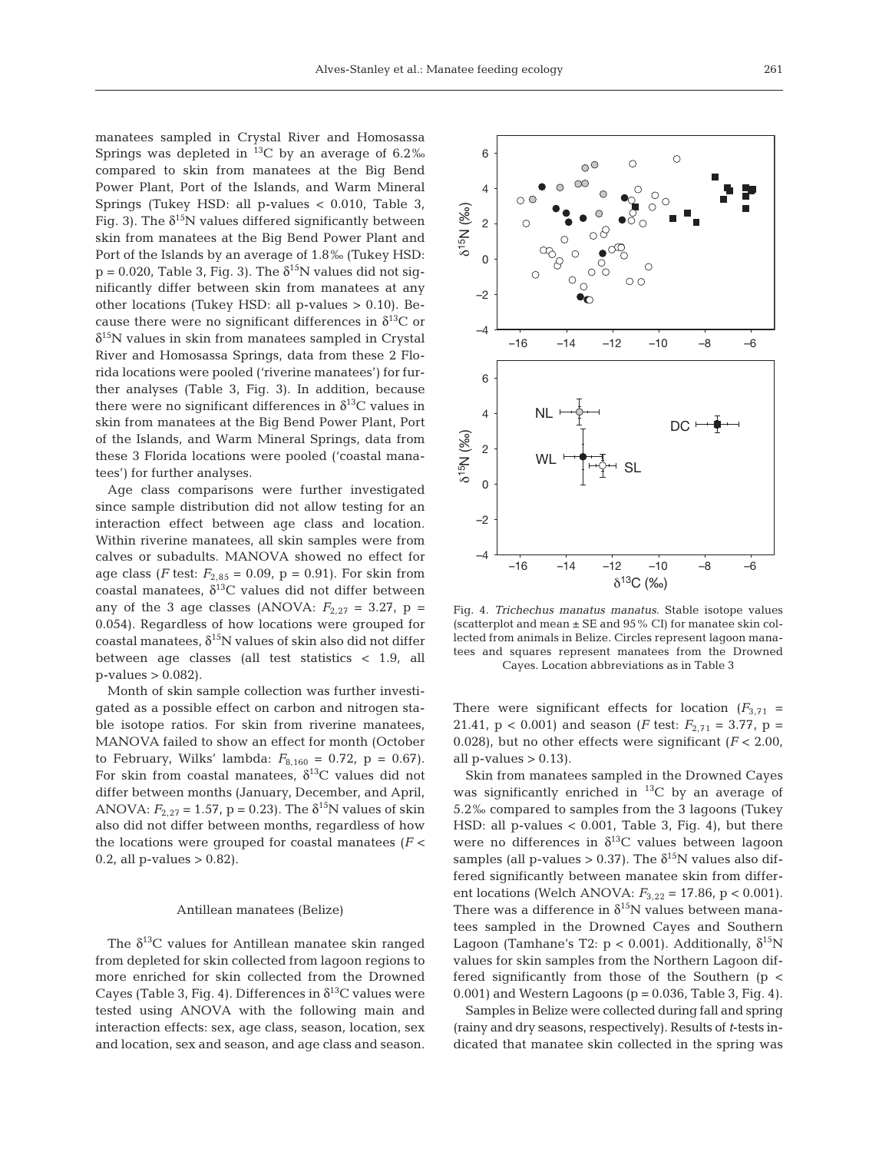manatees sampled in Crystal River and Homosassa Springs was depleted in  $^{13}$ C by an average of 6.2‰ compared to skin from manatees at the Big Bend Power Plant, Port of the Islands, and Warm Mineral Springs (Tukey HSD: all p-values < 0.010, Table 3, Fig. 3). The  $\delta^{15}N$  values differed significantly between skin from manatees at the Big Bend Power Plant and Port of the Islands by an average of 1.8‰ (Tukey HSD:  $p = 0.020$ , Table 3, Fig. 3). The  $\delta^{15}N$  values did not significantly differ between skin from manatees at any other locations (Tukey HSD: all p-values > 0.10). Because there were no significant differences in  $\delta^{13}C$  or  $\delta^{15}$ N values in skin from manatees sampled in Crystal River and Homosassa Springs, data from these 2 Florida locations were pooled ('riverine manatees') for further analyses (Table 3, Fig. 3). In addition, because there were no significant differences in  $\delta^{13}$ C values in skin from manatees at the Big Bend Power Plant, Port of the Islands, and Warm Mineral Springs, data from these 3 Florida locations were pooled ('coastal manatees') for further analyses.

Age class comparisons were further investigated since sample distribution did not allow testing for an interaction effect between age class and location. Within riverine manatees, all skin samples were from calves or subadults. MANOVA showed no effect for age class (*F* test:  $F_{2,85} = 0.09$ ,  $p = 0.91$ ). For skin from coastal manatees,  $\delta^{13}$ C values did not differ between any of the 3 age classes (ANOVA:  $F_{2,27} = 3.27$ , p = 0.054). Regardless of how locations were grouped for coastal manatees,  $\delta^{15}N$  values of skin also did not differ between age classes (all test statistics < 1.9, all p-values > 0.082).

Month of skin sample collection was further investigated as a possible effect on carbon and nitrogen stable isotope ratios. For skin from riverine manatees, MANOVA failed to show an effect for month (October to February, Wilks' lambda:  $F_{8,160} = 0.72$ , p = 0.67). For skin from coastal manatees,  $\delta^{13}$ C values did not differ between months (January, December, and April, ANOVA:  $F_{2,27} = 1.57$ , p = 0.23). The  $\delta^{15}$ N values of skin also did not differ between months, regardless of how the locations were grouped for coastal manatees (*F* <  $0.2$ , all p-values  $> 0.82$ ).

# Antillean manatees (Belize)

The  $\delta^{13}$ C values for Antillean manatee skin ranged from depleted for skin collected from lagoon regions to more enriched for skin collected from the Drowned Cayes (Table 3, Fig. 4). Differences in  $\delta^{13}$ C values were tested using ANOVA with the following main and interaction effects: sex, age class, season, location, sex and location, sex and season, and age class and season.



Fig. 4. *Trichechus manatus manatus*. Stable isotope values (scatterplot and mean ± SE and 95% CI) for manatee skin collected from animals in Belize. Circles represent lagoon manatees and squares represent manatees from the Drowned Cayes. Location abbreviations as in Table 3

There were significant effects for location  $(F_{3,71} =$ 21.41,  $p < 0.001$ ) and season (*F* test:  $F_{2,71} = 3.77$ ,  $p =$ 0.028), but no other effects were significant (*F* < 2.00, all p-values  $> 0.13$ ).

Skin from manatees sampled in the Drowned Cayes was significantly enriched in  $^{13}$ C by an average of 5.2‰ compared to samples from the 3 lagoons (Tukey HSD: all p-values  $< 0.001$ , Table 3, Fig. 4), but there were no differences in  $\delta^{13}$ C values between lagoon samples (all p-values  $> 0.37$ ). The  $\delta^{15}N$  values also differed significantly between manatee skin from different locations (Welch ANOVA:  $F_{3,22} = 17.86$ , p < 0.001). There was a difference in  $\delta^{15}N$  values between manatees sampled in the Drowned Cayes and Southern Lagoon (Tamhane's T2:  $p < 0.001$ ). Additionally,  $\delta^{15}N$ values for skin samples from the Northern Lagoon differed significantly from those of the Southern (p <  $0.001$ ) and Western Lagoons ( $p = 0.036$ , Table 3, Fig. 4).

Samples in Belize were collected during fall and spring (rainy and dry seasons, respectively). Results of *t*-tests indicated that manatee skin collected in the spring was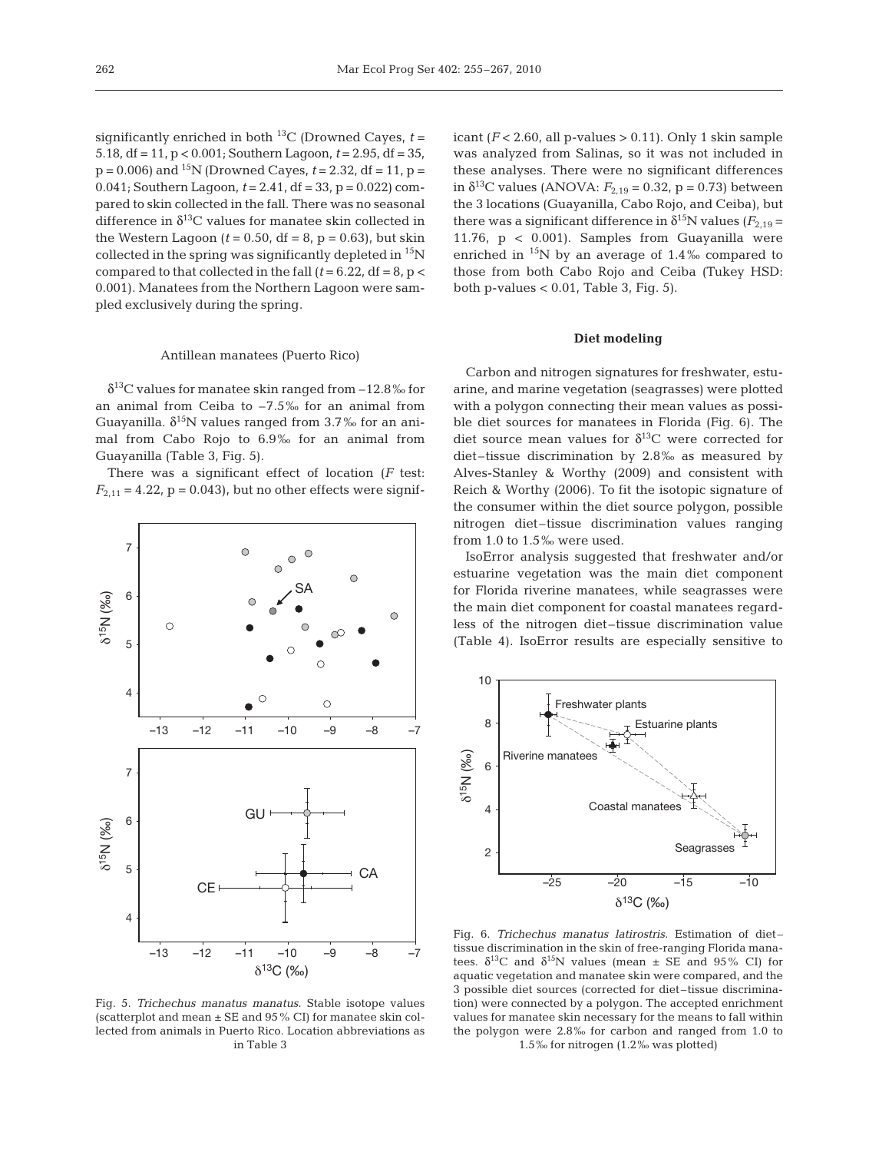significantly enriched in both  $^{13}C$  (Drowned Cayes,  $t =$ 5.18, df = 11, p < 0.001; Southern Lagoon, *t* = 2.95, df = 35,  $p = 0.006$ ) and <sup>15</sup>N (Drowned Cayes,  $t = 2.32$ , df = 11,  $p =$ 0.041; Southern Lagoon, *t* = 2.41, df = 33, p = 0.022) compared to skin collected in the fall. There was no seasonal difference in  $\delta^{13}$ C values for manatee skin collected in the Western Lagoon  $(t = 0.50, df = 8, p = 0.63)$ , but skin collected in the spring was significantly depleted in  $^{15}N$ compared to that collected in the fall  $(t = 6.22, df = 8, p <$ 0.001). Manatees from the Northern Lagoon were sampled exclusively during the spring.

## Antillean manatees (Puerto Rico)

 $\delta^{13}$ C values for manatee skin ranged from  $-12.8\%$  for an animal from Ceiba to –7.5‰ for an animal from Guayanilla.  $\delta^{15}N$  values ranged from 3.7% for an animal from Cabo Rojo to 6.9‰ for an animal from Guayanilla (Table 3, Fig. 5).

There was a significant effect of location (*F* test:  $F_{2,11} = 4.22$ ,  $p = 0.043$ , but no other effects were signif-



Fig. 5. *Trichechus manatus manatus*. Stable isotope values (scatterplot and mean  $\pm$  SE and 95% CI) for manatee skin collected from animals in Puerto Rico. Location abbreviations as in Table 3

icant  $(F < 2.60$ , all p-values  $> 0.11$ ). Only 1 skin sample was analyzed from Salinas, so it was not included in these analyses. There were no significant differences in  $\delta^{13}$ C values (ANOVA:  $F_{2,19} = 0.32$ , p = 0.73) between the 3 locations (Guayanilla, Cabo Rojo, and Ceiba), but there was a significant difference in  $\delta^{15}N$  values ( $F_{2,19}$  = 11.76, p < 0.001). Samples from Guayanilla were enriched in  $^{15}N$  by an average of 1.4‰ compared to those from both Cabo Rojo and Ceiba (Tukey HSD: both p-values  $< 0.01$ , Table 3, Fig. 5).

## **Diet modeling**

Carbon and nitrogen signatures for freshwater, estuarine, and marine vegetation (seagrasses) were plotted with a polygon connecting their mean values as possible diet sources for manatees in Florida (Fig. 6). The diet source mean values for  $\delta^{13}$ C were corrected for diet–tissue discrimination by 2.8‰ as measured by Alves-Stanley & Worthy (2009) and consistent with Reich & Worthy (2006). To fit the isotopic signature of the consumer within the diet source polygon, possible nitrogen diet–tissue discrimination values ranging from 1.0 to 1.5‰ were used.

IsoError analysis suggested that freshwater and/or estuarine vegetation was the main diet component for Florida riverine manatees, while seagrasses were the main diet component for coastal manatees regardless of the nitrogen diet–tissue discrimination value (Table 4). IsoError results are especially sensitive to



Fig. 6. *Trichechus manatus latirostris*. Estimation of diet– tissue discrimination in the skin of free-ranging Florida manatees.  $\delta^{13}$ C and  $\delta^{15}$ N values (mean  $\pm$  SE and 95% CI) for aquatic vegetation and manatee skin were compared, and the 3 possible diet sources (corrected for diet–tissue discrimination) were connected by a polygon. The accepted enrichment values for manatee skin necessary for the means to fall within the polygon were 2.8‰ for carbon and ranged from 1.0 to 1.5‰ for nitrogen (1.2‰ was plotted)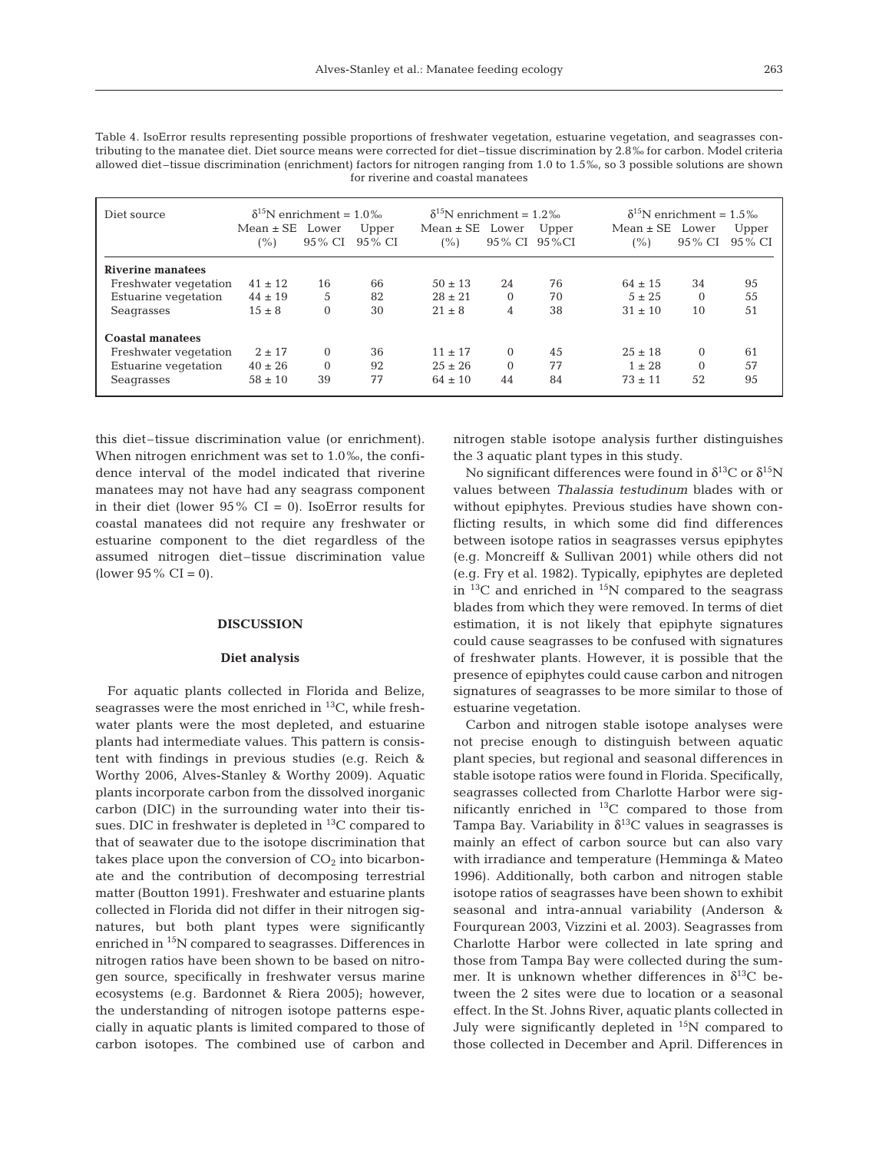| Diet source             | $\delta^{15}$ N enrichment = 1.0% |          |         | $\delta^{15}$ N enrichment = 1.2% |                 |       | $\delta^{15}$ N enrichment = 1.5% |          |         |  |
|-------------------------|-----------------------------------|----------|---------|-----------------------------------|-----------------|-------|-----------------------------------|----------|---------|--|
|                         | $Mean \pm SE$ Lower               |          | Upper   | $Mean \pm SE$                     | Lower           | Upper | $Mean \pm SE$                     | Lower    | Upper   |  |
|                         | (%)                               | 95 % CI  | 95 % CI | (%)                               | 95 % CI 95 % CI |       | (%)                               | 95 % CI  | 95 % CI |  |
| Riverine manatees       |                                   |          |         |                                   |                 |       |                                   |          |         |  |
| Freshwater vegetation   | $41 \pm 12$                       | 16       | 66      | $50 \pm 13$                       | 24              | 76    | $64 \pm 15$                       | 34       | 95      |  |
| Estuarine vegetation    | $44 \pm 19$                       | 5        | 82      | $28 \pm 21$                       | $\Omega$        | 70    | $5 \pm 25$                        | $\Omega$ | 55      |  |
| Seagrasses              | $15 \pm 8$                        | $\Omega$ | 30      | $21 \pm 8$                        | 4               | 38    | $31 \pm 10$                       | 10       | 51      |  |
| <b>Coastal manatees</b> |                                   |          |         |                                   |                 |       |                                   |          |         |  |
| Freshwater vegetation   | $2 \pm 17$                        | $\Omega$ | 36      | $11 \pm 17$                       | 0               | 45    | $25 \pm 18$                       | $\Omega$ | 61      |  |
| Estuarine vegetation    | $40 \pm 26$                       | $\Omega$ | 92      | $25 \pm 26$                       | $\Omega$        | 77    | $1 \pm 28$                        | $\Omega$ | 57      |  |
| Seagrasses              | $58 \pm 10$                       | 39       | 77      | $64 \pm 10$                       | 44              | 84    | $73 + 11$                         | 52       | 95      |  |

Table 4. IsoError results representing possible proportions of freshwater vegetation, estuarine vegetation, and seagrasses contributing to the manatee diet. Diet source means were corrected for diet–tissue discrimination by 2.8‰ for carbon. Model criteria allowed diet–tissue discrimination (enrichment) factors for nitrogen ranging from 1.0 to 1.5‰, so 3 possible solutions are shown for riverine and coastal manatees

this diet–tissue discrimination value (or enrichment). When nitrogen enrichment was set to 1.0‰, the confidence interval of the model indicated that riverine manatees may not have had any seagrass component in their diet (lower  $95\%$  CI = 0). IsoError results for coastal manatees did not require any freshwater or estuarine component to the diet regardless of the assumed nitrogen diet–tissue discrimination value (lower  $95\%$  CI = 0).

# **DISCUSSION**

#### **Diet analysis**

For aquatic plants collected in Florida and Belize, seagrasses were the most enriched in 13C, while freshwater plants were the most depleted, and estuarine plants had intermediate values. This pattern is consistent with findings in previous studies (e.g. Reich & Worthy 2006, Alves-Stanley & Worthy 2009). Aquatic plants incorporate carbon from the dissolved inorganic carbon (DIC) in the surrounding water into their tissues. DIC in freshwater is depleted in  $^{13}$ C compared to that of seawater due to the isotope discrimination that takes place upon the conversion of  $CO<sub>2</sub>$  into bicarbonate and the contribution of decomposing terrestrial matter (Boutton 1991). Freshwater and estuarine plants collected in Florida did not differ in their nitrogen signatures, but both plant types were significantly enriched in 15N compared to seagrasses. Differences in nitrogen ratios have been shown to be based on nitrogen source, specifically in freshwater versus marine ecosystems (e.g. Bardonnet & Riera 2005); however, the understanding of nitrogen isotope patterns especially in aquatic plants is limited compared to those of carbon isotopes. The combined use of carbon and

nitrogen stable isotope analysis further distinguishes the 3 aquatic plant types in this study.

No significant differences were found in  $\delta^{13}C$  or  $\delta^{15}N$ values between *Thalassia testudinum* blades with or without epiphytes. Previous studies have shown conflicting results, in which some did find differences between isotope ratios in seagrasses versus epiphytes (e.g. Moncreiff & Sullivan 2001) while others did not (e.g. Fry et al. 1982). Typically, epiphytes are depleted in  ${}^{13}C$  and enriched in  ${}^{15}N$  compared to the seagrass blades from which they were removed. In terms of diet estimation, it is not likely that epiphyte signatures could cause seagrasses to be confused with signatures of freshwater plants. However, it is possible that the presence of epiphytes could cause carbon and nitrogen signatures of seagrasses to be more similar to those of estuarine vegetation.

Carbon and nitrogen stable isotope analyses were not precise enough to distinguish between aquatic plant species, but regional and seasonal differences in stable isotope ratios were found in Florida. Specifically, seagrasses collected from Charlotte Harbor were significantly enriched in 13C compared to those from Tampa Bay. Variability in  $\delta^{13}$ C values in seagrasses is mainly an effect of carbon source but can also vary with irradiance and temperature (Hemminga & Mateo 1996). Additionally, both carbon and nitrogen stable isotope ratios of seagrasses have been shown to exhibit seasonal and intra-annual variability (Anderson & Fourqurean 2003, Vizzini et al. 2003). Seagrasses from Charlotte Harbor were collected in late spring and those from Tampa Bay were collected during the summer. It is unknown whether differences in  $\delta^{13}C$  between the 2 sites were due to location or a seasonal effect. In the St. Johns River, aquatic plants collected in July were significantly depleted in  $15N$  compared to those collected in December and April. Differences in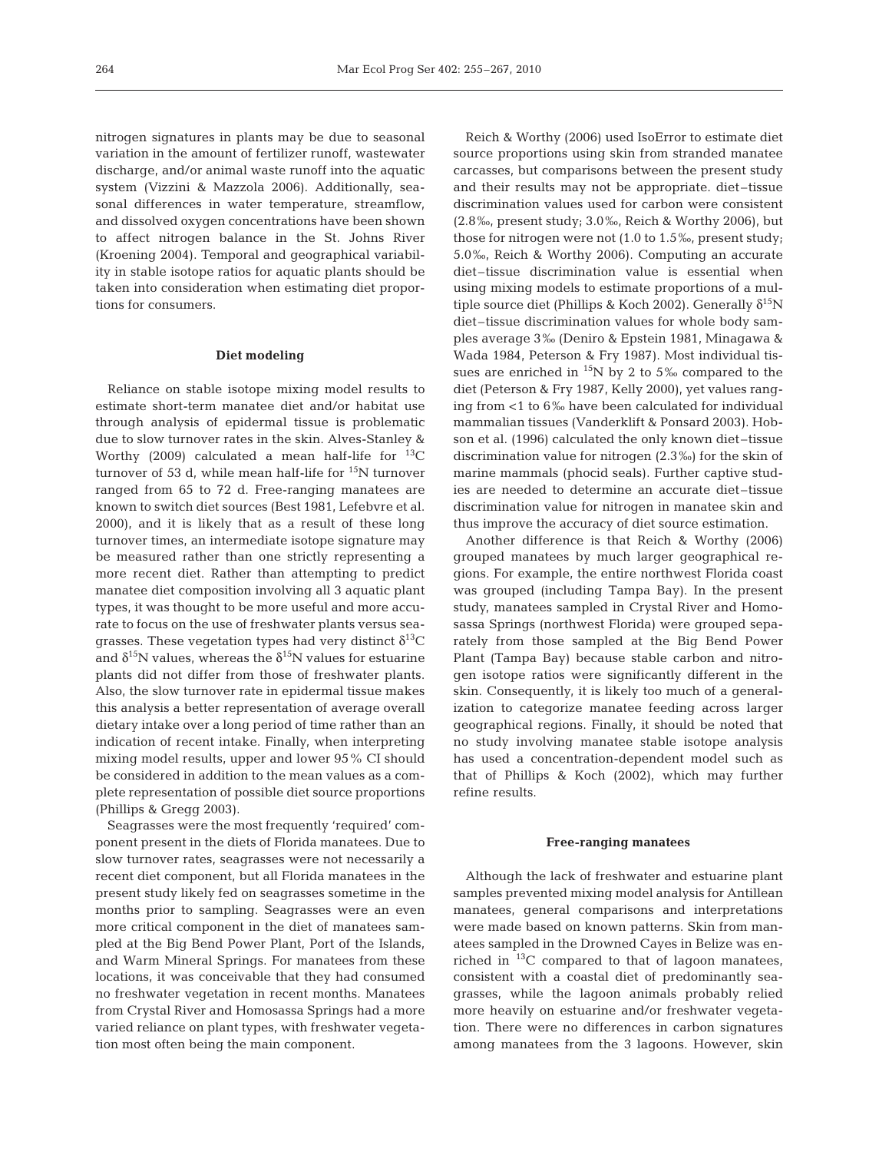nitrogen signatures in plants may be due to seasonal variation in the amount of fertilizer runoff, wastewater discharge, and/or animal waste runoff into the aquatic system (Vizzini & Mazzola 2006). Additionally, seasonal differences in water temperature, streamflow, and dissolved oxygen concentrations have been shown to affect nitrogen balance in the St. Johns River (Kroening 2004). Temporal and geographical variability in stable isotope ratios for aquatic plants should be taken into consideration when estimating diet proportions for consumers.

## **Diet modeling**

Reliance on stable isotope mixing model results to estimate short-term manatee diet and/or habitat use through analysis of epidermal tissue is problematic due to slow turnover rates in the skin. Alves-Stanley & Worthy (2009) calculated a mean half-life for  $^{13}C$ turnover of 53 d, while mean half-life for <sup>15</sup>N turnover ranged from 65 to 72 d. Free-ranging manatees are known to switch diet sources (Best 1981, Lefebvre et al. 2000), and it is likely that as a result of these long turnover times, an intermediate isotope signature may be measured rather than one strictly representing a more recent diet. Rather than attempting to predict manatee diet composition involving all 3 aquatic plant types, it was thought to be more useful and more accurate to focus on the use of freshwater plants versus seagrasses. These vegetation types had very distinct  $\delta^{13}C$ and  $\delta^{15}N$  values, whereas the  $\delta^{15}N$  values for estuarine plants did not differ from those of freshwater plants. Also, the slow turnover rate in epidermal tissue makes this analysis a better representation of average overall dietary intake over a long period of time rather than an indication of recent intake. Finally, when interpreting mixing model results, upper and lower 95% CI should be considered in addition to the mean values as a complete representation of possible diet source proportions (Phillips & Gregg 2003).

Seagrasses were the most frequently 'required' component present in the diets of Florida manatees. Due to slow turnover rates, seagrasses were not necessarily a recent diet component, but all Florida manatees in the present study likely fed on seagrasses sometime in the months prior to sampling. Seagrasses were an even more critical component in the diet of manatees sampled at the Big Bend Power Plant, Port of the Islands, and Warm Mineral Springs. For manatees from these locations, it was conceivable that they had consumed no freshwater vegetation in recent months. Manatees from Crystal River and Homosassa Springs had a more varied reliance on plant types, with freshwater vegetation most often being the main component.

Reich & Worthy (2006) used IsoError to estimate diet source proportions using skin from stranded manatee carcasses, but comparisons between the present study and their results may not be appropriate. diet–tissue discrimination values used for carbon were consistent (2.8‰, present study; 3.0‰, Reich & Worthy 2006), but those for nitrogen were not (1.0 to 1.5‰, present study; 5.0‰, Reich & Worthy 2006). Computing an accurate diet–tissue discrimination value is essential when using mixing models to estimate proportions of a multiple source diet (Phillips & Koch 2002). Generally  $\delta^{15}N$ diet–tissue discrimination values for whole body samples average 3‰ (Deniro & Epstein 1981, Minagawa & Wada 1984, Peterson & Fry 1987). Most individual tissues are enriched in  $^{15}N$  by 2 to 5‰ compared to the diet (Peterson & Fry 1987, Kelly 2000), yet values ranging from <1 to 6‰ have been calculated for individual mammalian tissues (Vanderklift & Ponsard 2003). Hobson et al. (1996) calculated the only known diet–tissue discrimination value for nitrogen (2.3‰) for the skin of marine mammals (phocid seals). Further captive studies are needed to determine an accurate diet–tissue discrimination value for nitrogen in manatee skin and thus improve the accuracy of diet source estimation.

Another difference is that Reich & Worthy (2006) grouped manatees by much larger geographical regions. For example, the entire northwest Florida coast was grouped (including Tampa Bay). In the present study, manatees sampled in Crystal River and Homosassa Springs (northwest Florida) were grouped separately from those sampled at the Big Bend Power Plant (Tampa Bay) because stable carbon and nitrogen isotope ratios were significantly different in the skin. Consequently, it is likely too much of a generalization to categorize manatee feeding across larger geographical regions. Finally, it should be noted that no study involving manatee stable isotope analysis has used a concentration-dependent model such as that of Phillips & Koch (2002), which may further refine results.

### **Free-ranging manatees**

Although the lack of freshwater and estuarine plant samples prevented mixing model analysis for Antillean manatees, general comparisons and interpretations were made based on known patterns. Skin from manatees sampled in the Drowned Cayes in Belize was enriched in  $^{13}$ C compared to that of lagoon manatees, consistent with a coastal diet of predominantly seagrasses, while the lagoon animals probably relied more heavily on estuarine and/or freshwater vegetation. There were no differences in carbon signatures among manatees from the 3 lagoons. However, skin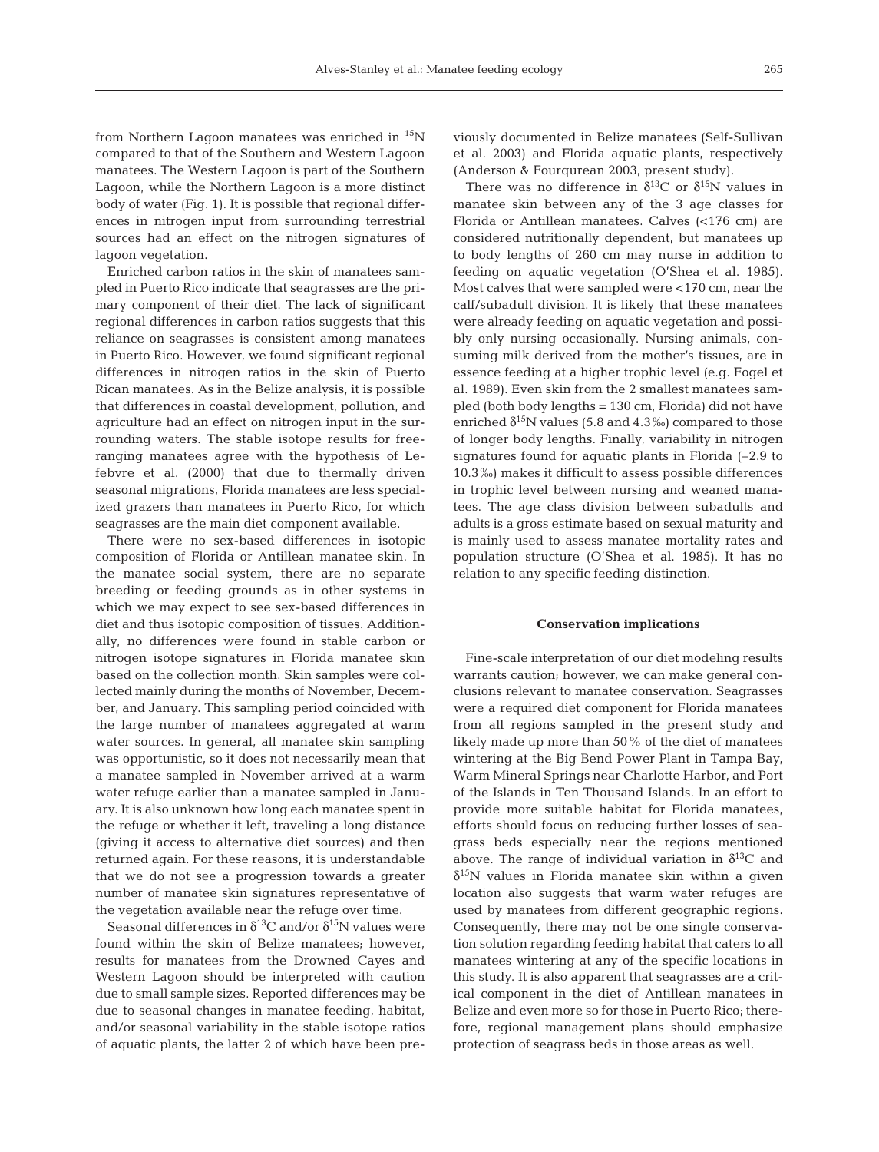from Northern Lagoon manatees was enriched in  $^{15}N$ compared to that of the Southern and Western Lagoon manatees. The Western Lagoon is part of the Southern Lagoon, while the Northern Lagoon is a more distinct body of water (Fig. 1). It is possible that regional differences in nitrogen input from surrounding terrestrial sources had an effect on the nitrogen signatures of lagoon vegetation.

Enriched carbon ratios in the skin of manatees sampled in Puerto Rico indicate that seagrasses are the primary component of their diet. The lack of significant regional differences in carbon ratios suggests that this reliance on seagrasses is consistent among manatees in Puerto Rico. However, we found significant regional differences in nitrogen ratios in the skin of Puerto Rican manatees. As in the Belize analysis, it is possible that differences in coastal development, pollution, and agriculture had an effect on nitrogen input in the surrounding waters. The stable isotope results for freeranging manatees agree with the hypothesis of Lefebvre et al. (2000) that due to thermally driven seasonal migrations, Florida manatees are less specialized grazers than manatees in Puerto Rico, for which seagrasses are the main diet component available.

There were no sex-based differences in isotopic composition of Florida or Antillean manatee skin. In the manatee social system, there are no separate breeding or feeding grounds as in other systems in which we may expect to see sex-based differences in diet and thus isotopic composition of tissues. Additionally, no differences were found in stable carbon or nitrogen isotope signatures in Florida manatee skin based on the collection month. Skin samples were collected mainly during the months of November, December, and January. This sampling period coincided with the large number of manatees aggregated at warm water sources. In general, all manatee skin sampling was opportunistic, so it does not necessarily mean that a manatee sampled in November arrived at a warm water refuge earlier than a manatee sampled in January. It is also unknown how long each manatee spent in the refuge or whether it left, traveling a long distance (giving it access to alternative diet sources) and then returned again. For these reasons, it is understandable that we do not see a progression towards a greater number of manatee skin signatures representative of the vegetation available near the refuge over time.

Seasonal differences in  $\delta^{13}$ C and/or  $\delta^{15}$ N values were found within the skin of Belize manatees; however, results for manatees from the Drowned Cayes and Western Lagoon should be interpreted with caution due to small sample sizes. Reported differences may be due to seasonal changes in manatee feeding, habitat, and/or seasonal variability in the stable isotope ratios of aquatic plants, the latter 2 of which have been previously documented in Belize manatees (Self-Sullivan et al. 2003) and Florida aquatic plants, respectively (Anderson & Fourqurean 2003, present study).

There was no difference in  $\delta^{13}$ C or  $\delta^{15}$ N values in manatee skin between any of the 3 age classes for Florida or Antillean manatees. Calves (<176 cm) are considered nutritionally dependent, but manatees up to body lengths of 260 cm may nurse in addition to feeding on aquatic vegetation (O'Shea et al. 1985). Most calves that were sampled were <170 cm, near the calf/subadult division. It is likely that these manatees were already feeding on aquatic vegetation and possibly only nursing occasionally. Nursing animals, consuming milk derived from the mother's tissues, are in essence feeding at a higher trophic level (e.g. Fogel et al. 1989). Even skin from the 2 smallest manatees sampled (both body lengths = 130 cm, Florida) did not have enriched  $\delta^{15}N$  values (5.8 and 4.3‰) compared to those of longer body lengths. Finally, variability in nitrogen signatures found for aquatic plants in Florida (–2.9 to 10.3‰) makes it difficult to assess possible differences in trophic level between nursing and weaned manatees. The age class division between subadults and adults is a gross estimate based on sexual maturity and is mainly used to assess manatee mortality rates and population structure (O'Shea et al. 1985). It has no relation to any specific feeding distinction.

## **Conservation implications**

Fine-scale interpretation of our diet modeling results warrants caution; however, we can make general conclusions relevant to manatee conservation. Seagrasses were a required diet component for Florida manatees from all regions sampled in the present study and likely made up more than 50% of the diet of manatees wintering at the Big Bend Power Plant in Tampa Bay, Warm Mineral Springs near Charlotte Harbor, and Port of the Islands in Ten Thousand Islands. In an effort to provide more suitable habitat for Florida manatees, efforts should focus on reducing further losses of seagrass beds especially near the regions mentioned above. The range of individual variation in  $\delta^{13}C$  and  $\delta^{15}$ N values in Florida manatee skin within a given location also suggests that warm water refuges are used by manatees from different geographic regions. Consequently, there may not be one single conservation solution regarding feeding habitat that caters to all manatees wintering at any of the specific locations in this study. It is also apparent that seagrasses are a critical component in the diet of Antillean manatees in Belize and even more so for those in Puerto Rico; therefore, regional management plans should emphasize protection of seagrass beds in those areas as well.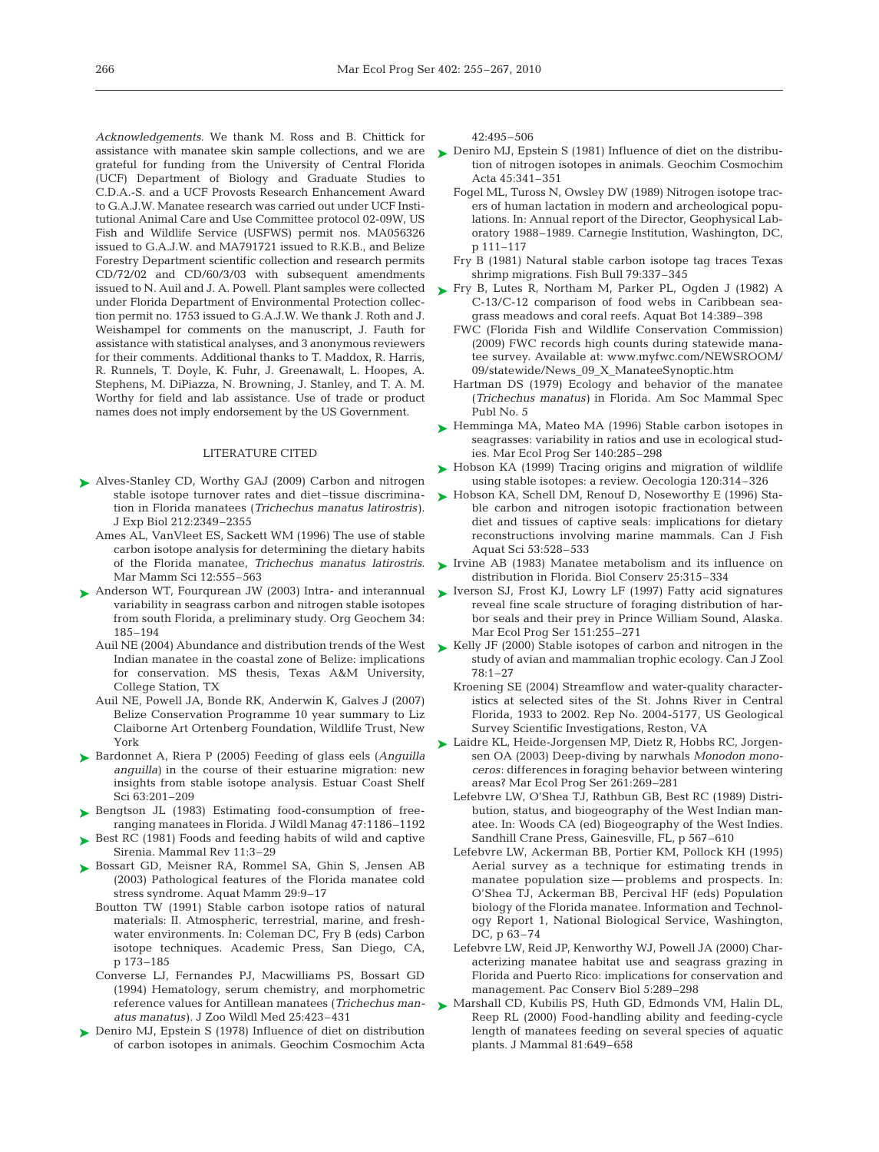*Acknowledgements.* We thank M. Ross and B. Chittick for assistance with manatee skin sample collections, and we are grateful for funding from the University of Central Florida (UCF) Department of Biology and Graduate Studies to C.D.A.-S. and a UCF Provosts Research Enhancement Award to G.A.J.W. Manatee research was carried out under UCF Institutional Animal Care and Use Committee protocol 02-09W, US Fish and Wildlife Service (USFWS) permit nos. MA056326 issued to G.A.J.W. and MA791721 issued to R.K.B., and Belize Forestry Department scientific collection and research permits CD/72/02 and CD/60/3/03 with subsequent amendments issued to N. Auil and J. A. Powell. Plant samples were collected under Florida Department of Environmental Protection collection permit no. 1753 issued to G.A.J.W. We thank J. Roth and J. Weishampel for comments on the manuscript, J. Fauth for assistance with statistical analyses, and 3 anonymous reviewers for their comments. Additional thanks to T. Maddox, R. Harris, R. Runnels, T. Doyle, K. Fuhr, J. Greenawalt, L. Hoopes, A. Stephens, M. DiPiazza, N. Browning, J. Stanley, and T. A. M. Worthy for field and lab assistance. Use of trade or product names does not imply endorsement by the US Government.

## LITERATURE CITED

- ► Alves-Stanley CD, Worthy GAJ (2009) Carbon and nitrogen stable isotope turnover rates and diet-tissue discrimination in Florida manatees (*Trichechus manatus latirostris)*. J Exp Biol 212:2349–2355
	- Ames AL, VanVleet ES, Sackett WM (1996) The use of stable carbon isotope analysis for determining the dietary habits of the Florida manatee, *Trichechus manatus latirostris*. Mar Mamm Sci 12:555–563
- ▶ Anderson WT, Fourqurean JW (2003) Intra- and interannual variability in seagrass carbon and nitrogen stable isotopes from south Florida, a preliminary study. Org Geochem 34: 185–194
	- Indian manatee in the coastal zone of Belize: implications for conservation. MS thesis, Texas A&M University, College Station, TX
	- Auil NE, Powell JA, Bonde RK, Anderwin K, Galves J (2007) Belize Conservation Programme 10 year summary to Liz Claiborne Art Ortenberg Foundation, Wildlife Trust, New York
- Bardonnet A, Riera P (2005) Feeding of glass eels (*Anguilla* ➤ *anguilla)* in the course of their estuarine migration: new insights from stable isotope analysis. Estuar Coast Shelf Sci 63:201–209
- ▶ Bengtson JL (1983) Estimating food-consumption of freeranging manatees in Florida. J Wildl Manag 47:1186–1192
- ▶ Best RC (1981) Foods and feeding habits of wild and captive Sirenia. Mammal Rev 11:3–29
- ▶ Bossart GD, Meisner RA, Rommel SA, Ghin S, Jensen AB (2003) Pathological features of the Florida manatee cold stress syndrome. Aquat Mamm 29:9–17
	- Boutton TW (1991) Stable carbon isotope ratios of natural materials: II. Atmospheric, terrestrial, marine, and freshwater environments. In: Coleman DC, Fry B (eds) Carbon isotope techniques. Academic Press, San Diego, CA, p 173–185
	- Converse LJ, Fernandes PJ, Macwilliams PS, Bossart GD (1994) Hematology, serum chemistry, and morphometric reference values for Antillean manatees (*Trichechus manatus manatus)*. J Zoo Wildl Med 25:423–431
- ▶ Deniro MJ, Epstein S (1978) Influence of diet on distribution of carbon isotopes in animals. Geochim Cosmochim Acta

42:495–506

- ► Deniro MJ, Epstein S (1981) Influence of diet on the distribution of nitrogen isotopes in animals. Geochim Cosmochim Acta 45:341–351
	- Fogel ML, Tuross N, Owsley DW (1989) Nitrogen isotope tracers of human lactation in modern and archeological populations. In: Annual report of the Director, Geophysical Laboratory 1988–1989. Carnegie Institution, Washington, DC, p 111–117
	- Fry B (1981) Natural stable carbon isotope tag traces Texas shrimp migrations. Fish Bull 79:337–345
- ► Fry B, Lutes R, Northam M, Parker PL, Ogden J (1982) A C-13/C-12 comparison of food webs in Caribbean seagrass meadows and coral reefs. Aquat Bot 14:389–398
	- FWC (Florida Fish and Wildlife Conservation Commission) (2009) FWC records high counts during statewide manatee survey. Available at: www.myfwc.com/NEWSROOM/ 09/statewide/News\_09\_X\_ManateeSynoptic.htm
	- Hartman DS (1979) Ecology and behavior of the manatee (*Trichechus manatus)* in Florida. Am Soc Mammal Spec Publ No. 5
- ► Hemminga MA, Mateo MA (1996) Stable carbon isotopes in seagrasses: variability in ratios and use in ecological studies. Mar Ecol Prog Ser 140:285–298
- ► Hobson KA (1999) Tracing origins and migration of wildlife using stable isotopes: a review. Oecologia 120:314–326
- ► Hobson KA, Schell DM, Renouf D, Noseworthy E (1996) Stable carbon and nitrogen isotopic fractionation between diet and tissues of captive seals: implications for dietary reconstructions involving marine mammals. Can J Fish Aquat Sci 53:528–533
- $\blacktriangleright$  Irvine AB (1983) Manatee metabolism and its influence on distribution in Florida. Biol Conserv 25:315–334
- ► Iverson SJ, Frost KJ, Lowry LF (1997) Fatty acid signatures reveal fine scale structure of foraging distribution of harbor seals and their prey in Prince William Sound, Alaska. Mar Ecol Prog Ser 151:255–271
- Auil NE (2004) Abundance and distribution trends of the West  $\quadblacktriangleright$  Kelly JF (2000) Stable isotopes of carbon and nitrogen in the study of avian and mammalian trophic ecology. Can J Zool 78:1–27
	- Kroening SE (2004) Streamflow and water-quality characteristics at selected sites of the St. Johns River in Central Florida, 1933 to 2002. Rep No. 2004-5177, US Geological Survey Scientific Investigations, Reston, VA
	- ► Laidre KL, Heide-Jorgensen MP, Dietz R, Hobbs RC, Jorgensen OA (2003) Deep-diving by narwhals *Monodon monoceros*: differences in foraging behavior between wintering areas? Mar Ecol Prog Ser 261:269–281
		- Lefebvre LW, O'Shea TJ, Rathbun GB, Best RC (1989) Distribution, status, and biogeography of the West Indian manatee. In: Woods CA (ed) Biogeography of the West Indies. Sandhill Crane Press, Gainesville, FL, p 567–610
		- Lefebvre LW, Ackerman BB, Portier KM, Pollock KH (1995) Aerial survey as a technique for estimating trends in manatee population size — problems and prospects. In: O'Shea TJ, Ackerman BB, Percival HF (eds) Population biology of the Florida manatee. Information and Technology Report 1, National Biological Service, Washington, DC, p 63–74
		- Lefebvre LW, Reid JP, Kenworthy WJ, Powell JA (2000) Characterizing manatee habitat use and seagrass grazing in Florida and Puerto Rico: implications for conservation and management. Pac Conserv Biol 5:289–298
	- ► Marshall CD, Kubilis PS, Huth GD, Edmonds VM, Halin DL, Reep RL (2000) Food-handling ability and feeding-cycle length of manatees feeding on several species of aquatic plants. J Mammal 81:649–658